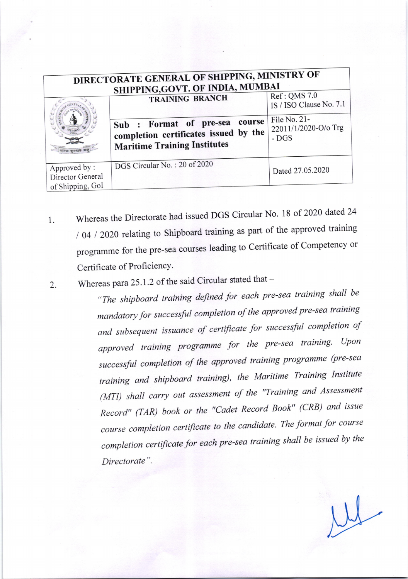| DIRECTORATE GENERAL OF SHIPPING, MINISTRY OF<br>SHIPPING, GOVT. OF INDIA, MUMBAI |                                                                                                                |                                                |
|----------------------------------------------------------------------------------|----------------------------------------------------------------------------------------------------------------|------------------------------------------------|
|                                                                                  | TRAINING BRANCH                                                                                                | Ref: QMS 7.0<br>IS / ISO Clause No. 7.1        |
|                                                                                  | Sub : Format of pre-sea course<br>completion certificates issued by the<br><b>Maritime Training Institutes</b> | File No. 21-<br>22011/1/2020-O/o Trg<br>$-DGS$ |
| Approved by:<br>Director General<br>of Shipping, GoI                             | DGS Circular No.: 20 of 2020                                                                                   | Dated 27.05.2020                               |

1. Whereas the Directorate had issued DGS Circular No. 18 of 2020 dated 24 / 04 / 2020 relating to Shipboard training as part of the approved training programme for the pre-sea courses leading to Certificate of Competency or Certificate of Proficiency.

2. Whereas para 25.1.2 of the said Circular stated that  $-$ 

"The shipboard training defined for each pre-sea training shall be mandatory for successful completion of the approved pre-sea training and subsequent issuance of certificate for successful completion of approved training programme for the pre-sea training. Upon successful completion of the approved training programme (pre-sea training and shipboard training), the Maritime Training Institute (MTI) shall carry out assessment of the "Training and Assessment Record" (TAR) book or the "Cadet Record Book" (CRB) and issue course completion certificate to the candidate. The format for course completion certificate for each pre-sea training shall be issued by the Directorate".